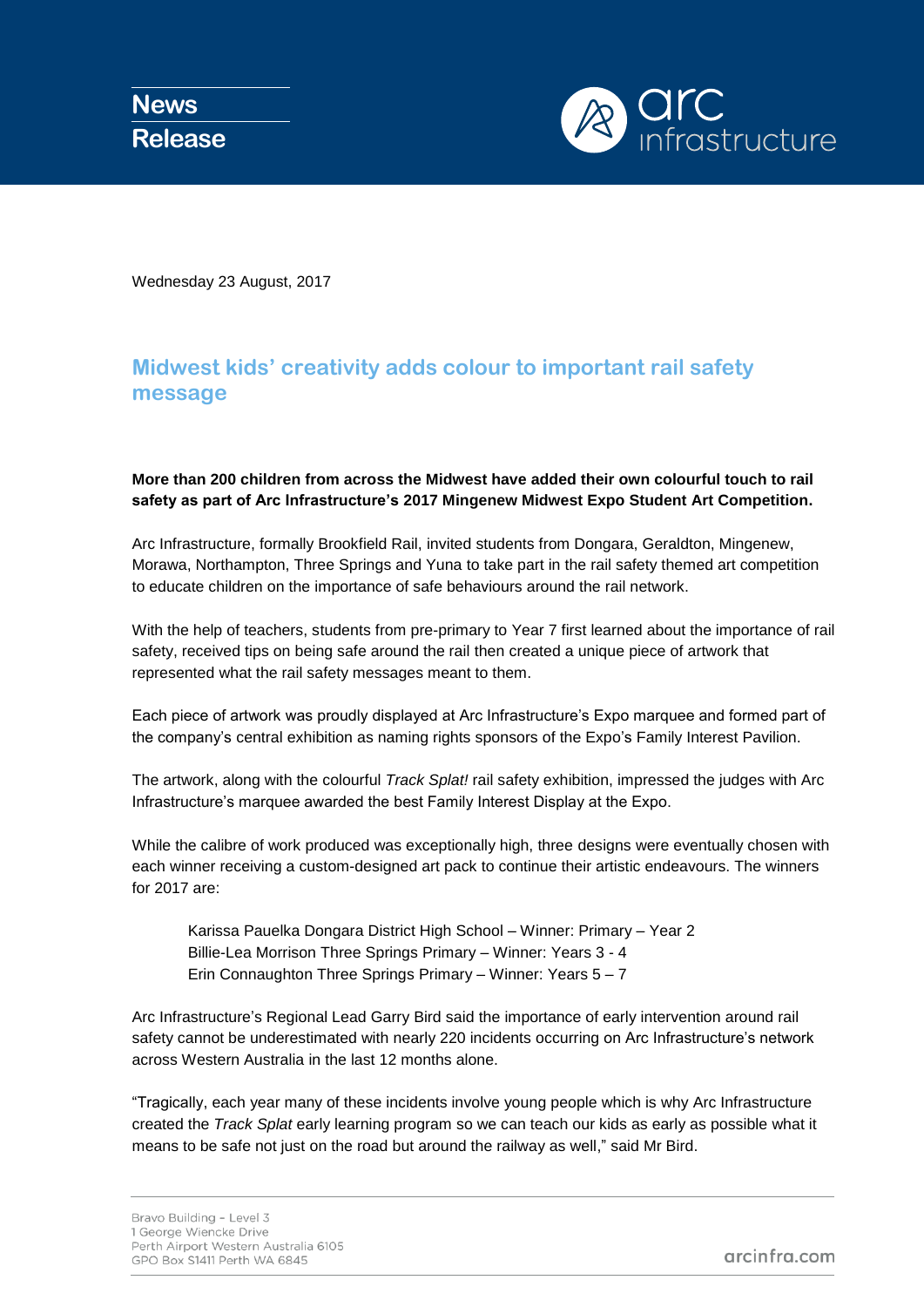**News Release**



Wednesday 23 August, 2017

## **Midwest kids' creativity adds colour to important rail safety message**

## **More than 200 children from across the Midwest have added their own colourful touch to rail safety as part of Arc Infrastructure's 2017 Mingenew Midwest Expo Student Art Competition.**

Arc Infrastructure, formally Brookfield Rail, invited students from Dongara, Geraldton, Mingenew, Morawa, Northampton, Three Springs and Yuna to take part in the rail safety themed art competition to educate children on the importance of safe behaviours around the rail network.

With the help of teachers, students from pre-primary to Year 7 first learned about the importance of rail safety, received tips on being safe around the rail then created a unique piece of artwork that represented what the rail safety messages meant to them.

Each piece of artwork was proudly displayed at Arc Infrastructure's Expo marquee and formed part of the company's central exhibition as naming rights sponsors of the Expo's Family Interest Pavilion.

The artwork, along with the colourful *Track Splat!* rail safety exhibition, impressed the judges with Arc Infrastructure's marquee awarded the best Family Interest Display at the Expo.

While the calibre of work produced was exceptionally high, three designs were eventually chosen with each winner receiving a custom-designed art pack to continue their artistic endeavours. The winners for 2017 are:

Karissa Pauelka Dongara District High School – Winner: Primary – Year 2 Billie-Lea Morrison Three Springs Primary – Winner: Years 3 - 4 Erin Connaughton Three Springs Primary – Winner: Years 5 – 7

Arc Infrastructure's Regional Lead Garry Bird said the importance of early intervention around rail safety cannot be underestimated with nearly 220 incidents occurring on Arc Infrastructure's network across Western Australia in the last 12 months alone.

"Tragically, each year many of these incidents involve young people which is why Arc Infrastructure created the *Track Splat* early learning program so we can teach our kids as early as possible what it means to be safe not just on the road but around the railway as well," said Mr Bird.